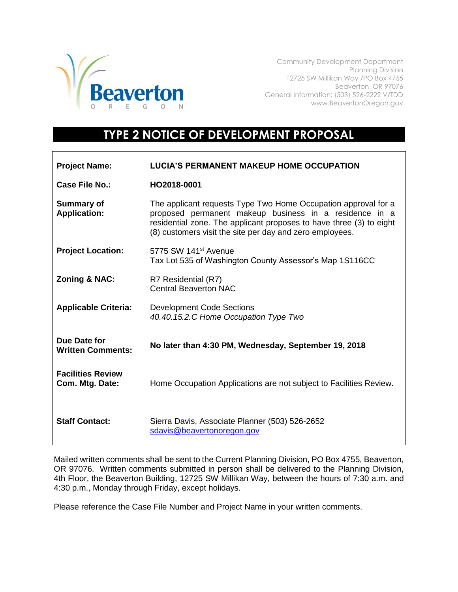

Community Development Department Planning Division 12725 SW Millikan Way /PO Box 4755 Beaverton, OR 97076 General Information: (503) 526-2222 V/TDD www.BeavertonOregon.gov

## **TYPE 2 NOTICE OF DEVELOPMENT PROPOSAL**

| <b>Project Name:</b>                        | <b>LUCIA'S PERMANENT MAKEUP HOME OCCUPATION</b>                                                                                                                                                                                                             |
|---------------------------------------------|-------------------------------------------------------------------------------------------------------------------------------------------------------------------------------------------------------------------------------------------------------------|
| Case File No.:                              | HO2018-0001                                                                                                                                                                                                                                                 |
| <b>Summary of</b><br><b>Application:</b>    | The applicant requests Type Two Home Occupation approval for a<br>proposed permanent makeup business in a residence in a<br>residential zone. The applicant proposes to have three (3) to eight<br>(8) customers visit the site per day and zero employees. |
| <b>Project Location:</b>                    | 5775 SW 141 <sup>st</sup> Avenue<br>Tax Lot 535 of Washington County Assessor's Map 1S116CC                                                                                                                                                                 |
| <b>Zoning &amp; NAC:</b>                    | R7 Residential (R7)<br><b>Central Beaverton NAC</b>                                                                                                                                                                                                         |
| <b>Applicable Criteria:</b>                 | <b>Development Code Sections</b><br>40.40.15.2.C Home Occupation Type Two                                                                                                                                                                                   |
| Due Date for<br><b>Written Comments:</b>    | No later than 4:30 PM, Wednesday, September 19, 2018                                                                                                                                                                                                        |
| <b>Facilities Review</b><br>Com. Mtg. Date: | Home Occupation Applications are not subject to Facilities Review.                                                                                                                                                                                          |
| <b>Staff Contact:</b>                       | Sierra Davis, Associate Planner (503) 526-2652<br>sdavis@beavertonoregon.gov                                                                                                                                                                                |

Mailed written comments shall be sent to the Current Planning Division, PO Box 4755, Beaverton, OR 97076. Written comments submitted in person shall be delivered to the Planning Division, 4th Floor, the Beaverton Building, 12725 SW Millikan Way, between the hours of 7:30 a.m. and 4:30 p.m., Monday through Friday, except holidays.

Please reference the Case File Number and Project Name in your written comments.